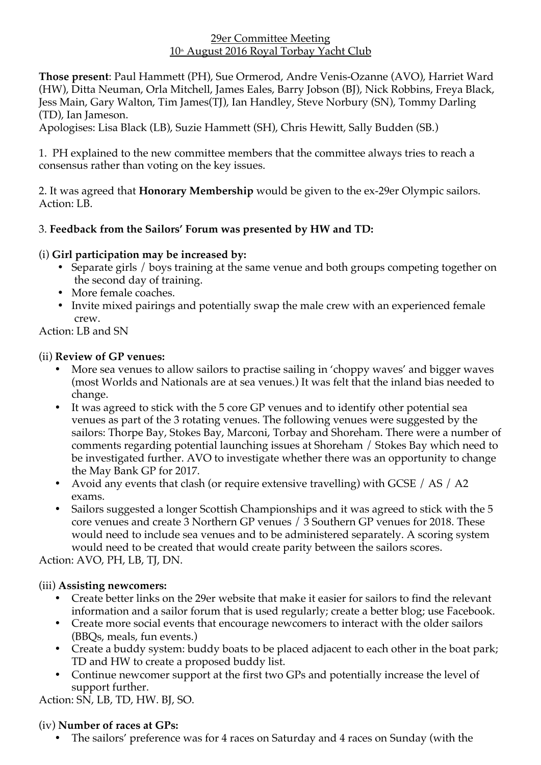#### 29er Committee Meeting  $10<sup>th</sup>$  August 2016 Royal Torbay Yacht Club

**Those present**: Paul Hammett (PH), Sue Ormerod, Andre Venis-Ozanne (AVO), Harriet Ward (HW), Ditta Neuman, Orla Mitchell, James Eales, Barry Jobson (BJ), Nick Robbins, Freya Black, Jess Main, Gary Walton, Tim James(TJ), Ian Handley, Steve Norbury (SN), Tommy Darling (TD), Ian Jameson.

Apologises: Lisa Black (LB), Suzie Hammett (SH), Chris Hewitt, Sally Budden (SB.)

1. PH explained to the new committee members that the committee always tries to reach a consensus rather than voting on the key issues.

2. It was agreed that **Honorary Membership** would be given to the ex-29er Olympic sailors. Action: LB.

# 3. **Feedback from the Sailors' Forum was presented by HW and TD:**

# (i) **Girl participation may be increased by:**

- Separate girls / boys training at the same venue and both groups competing together on the second day of training.
- More female coaches.
- Invite mixed pairings and potentially swap the male crew with an experienced female crew.

# Action: LB and SN

### (ii) **Review of GP venues:**

- More sea venues to allow sailors to practise sailing in 'choppy waves' and bigger waves (most Worlds and Nationals are at sea venues.) It was felt that the inland bias needed to change.
- It was agreed to stick with the 5 core GP venues and to identify other potential sea venues as part of the 3 rotating venues. The following venues were suggested by the sailors: Thorpe Bay, Stokes Bay, Marconi, Torbay and Shoreham. There were a number of comments regarding potential launching issues at Shoreham / Stokes Bay which need to be investigated further. AVO to investigate whether there was an opportunity to change the May Bank GP for 2017.
- Avoid any events that clash (or require extensive travelling) with GCSE / AS / A2 exams.
- Sailors suggested a longer Scottish Championships and it was agreed to stick with the 5 core venues and create 3 Northern GP venues / 3 Southern GP venues for 2018. These would need to include sea venues and to be administered separately. A scoring system would need to be created that would create parity between the sailors scores.

Action: AVO, PH, LB, TJ, DN.

### (iii) **Assisting newcomers:**

- Create better links on the 29er website that make it easier for sailors to find the relevant information and a sailor forum that is used regularly; create a better blog; use Facebook.
- Create more social events that encourage newcomers to interact with the older sailors (BBQs, meals, fun events.)
- Create a buddy system: buddy boats to be placed adjacent to each other in the boat park; TD and HW to create a proposed buddy list.
- Continue newcomer support at the first two GPs and potentially increase the level of support further.

Action: SN, LB, TD, HW. BJ, SO.

### (iv) **Number of races at GPs:**

• The sailors' preference was for 4 races on Saturday and 4 races on Sunday (with the